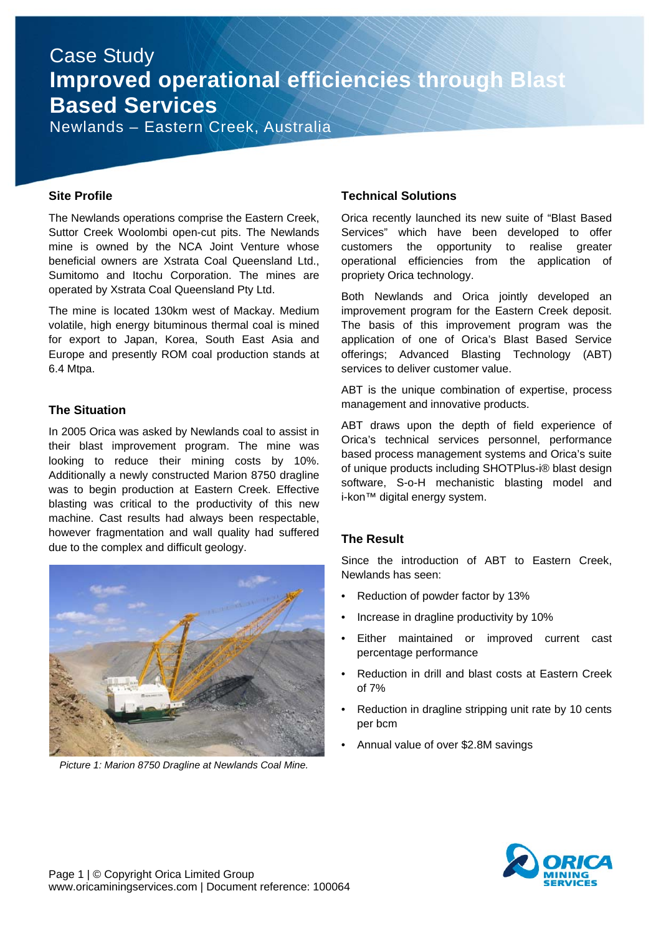## Case Study **Improved operational efficiencies through Blast Based Services**

Newlands – Eastern Creek, Australia

#### **Site Profile**

The Newlands operations comprise the Eastern Creek, Suttor Creek Woolombi open-cut pits. The Newlands mine is owned by the NCA Joint Venture whose beneficial owners are Xstrata Coal Queensland Ltd., Sumitomo and Itochu Corporation. The mines are operated by Xstrata Coal Queensland Pty Ltd.

The mine is located 130km west of Mackay. Medium volatile, high energy bituminous thermal coal is mined for export to Japan, Korea, South East Asia and Europe and presently ROM coal production stands at 6.4 Mtpa.

#### **The Situation**

In 2005 Orica was asked by Newlands coal to assist in their blast improvement program. The mine was looking to reduce their mining costs by 10%. Additionally a newly constructed Marion 8750 dragline was to begin production at Eastern Creek. Effective blasting was critical to the productivity of this new machine. Cast results had always been respectable, however fragmentation and wall quality had suffered due to the complex and difficult geology.



*Picture 1: Marion 8750 Dragline at Newlands Coal Mine.* 

#### **Technical Solutions**

Orica recently launched its new suite of "Blast Based Services" which have been developed to offer customers the opportunity to realise greater operational efficiencies from the application of propriety Orica technology.

Both Newlands and Orica jointly developed an improvement program for the Eastern Creek deposit. The basis of this improvement program was the application of one of Orica's Blast Based Service offerings; Advanced Blasting Technology (ABT) services to deliver customer value.

ABT is the unique combination of expertise, process management and innovative products.

ABT draws upon the depth of field experience of Orica's technical services personnel, performance based process management systems and Orica's suite of unique products including SHOTPlus-i® blast design software, S-o-H mechanistic blasting model and i-kon™ digital energy system.

## **The Result**

Since the introduction of ABT to Eastern Creek, Newlands has seen:

- Reduction of powder factor by 13%
- Increase in dragline productivity by 10%
- Either maintained or improved current cast percentage performance
- Reduction in drill and blast costs at Eastern Creek of 7%
- Reduction in dragline stripping unit rate by 10 cents per bcm
- Annual value of over \$2.8M savings